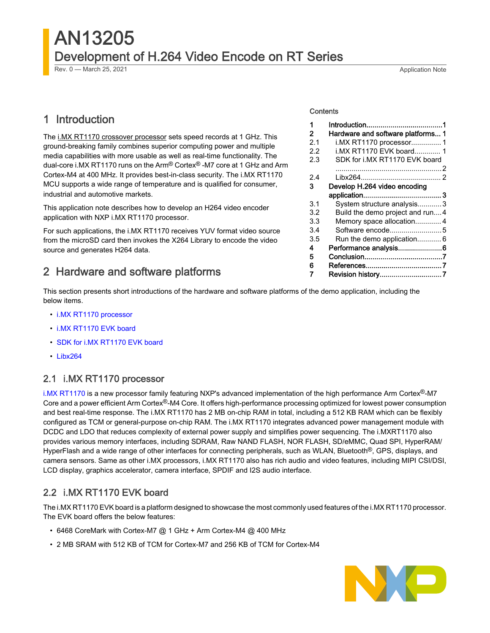# AN13205 Development of H.264 Video Encode on RT Series

Rev. 0 — March 25, 2021 **Application Note** 

# 1 Introduction

The [i.MX RT1170 crossover processor](https://www.nxp.com/products/processors-and-microcontrollers/arm-microcontrollers/i-mx-rt-crossover-mcus:IMX-RT-SERIES?utm_medium=AN-2021) sets speed records at 1 GHz. This ground-breaking family combines superior computing power and multiple media capabilities with more usable as well as real-time functionality. The dual-core i.MX RT1170 runs on the Arm® Cortex® -M7 core at 1 GHz and Arm Cortex-M4 at 400 MHz. It provides best-in-class security. The i.MX RT1170 MCU supports a wide range of temperature and is qualified for consumer, industrial and automotive markets.

This application note describes how to develop an H264 video encoder application with NXP i.MX RT1170 processor.

For such applications, the i.MX RT1170 receives YUV format video source from the microSD card then invokes the X264 Library to encode the video source and generates H264 data.

# 2 Hardware and software platforms

This section presents short introductions of the hardware and software platforms of the demo application, including the below items.

- i.MX RT1170 processor
- i.MX RT1170 EVK board
- [SDK for i.MX RT1170 EVK board](#page-1-0)
- [Libx264](#page-1-0)

#### 2.1 i.MX RT1170 processor

[i.MX RT1170](https://www.nxp.com/products/processors-and-microcontrollers/arm-microcontrollers/i-mx-rt-crossover-mcus/i-mx-rt1170-crossover-mcu-family-first-ghz-mcu-with-arm-cortex-m7-and-cortex-m4-cores:i.MX-RT1170) is a new processor family featuring NXP's advanced implementation of the high performance Arm Cortex®-M7 Core and a power efficient Arm Cortex®-M4 Core. It offers high-performance processing optimized for lowest power consumption and best real-time response. The i.MX RT1170 has 2 MB on-chip RAM in total, including a 512 KB RAM which can be flexibly configured as TCM or general-purpose on-chip RAM. The i.MX RT1170 integrates advanced power management module with DCDC and LDO that reduces complexity of external power supply and simplifies power sequencing. The i.MXRT1170 also provides various memory interfaces, including SDRAM, Raw NAND FLASH, NOR FLASH, SD/eMMC, Quad SPI, HyperRAM/ HyperFlash and a wide range of other interfaces for connecting peripherals, such as WLAN, Bluetooth<sup>®</sup>, GPS, displays, and camera sensors. Same as other i.MX processors, i.MX RT1170 also has rich audio and video features, including MIPI CSI/DSI, LCD display, graphics accelerator, camera interface, SPDIF and I2S audio interface.

### 2.2 i.MX RT1170 EVK board

The i.MX RT1170 EVK board is a platform designed to showcase the most commonly used features of the i.MX RT1170 processor. The EVK board offers the below features:

- 6468 CoreMark with Cortex-M7 @ 1 GHz + Arm Cortex-M4 @ 400 MHz
- 2 MB SRAM with 512 KB of TCM for Cortex-M7 and 256 KB of TCM for Cortex-M4



#### **Contents**

| 1   |                                   |
|-----|-----------------------------------|
| 2   | Hardware and software platforms 1 |
| 2.1 | i.MX RT1170 processor 1           |
| 22  | i.MX RT1170 EVK board 1           |
| 2.3 | SDK for i.MX RT1170 EVK board     |
|     |                                   |
| 2.4 |                                   |
| з   | Develop H.264 video encoding      |
|     |                                   |
| 3.1 | System structure analysis3        |
| 3.2 | Build the demo project and run4   |
| 3.3 | Memory space allocation4          |
| 3.4 |                                   |
| 3.5 | Run the demo application 6        |
| 4   | Performance analysis6             |
| 5   |                                   |
| 6   |                                   |
| 7   | Revision history7                 |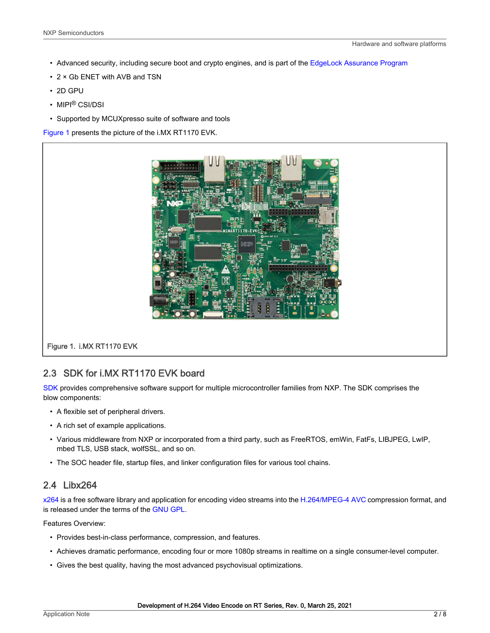- <span id="page-1-0"></span>• Advanced security, including secure boot and crypto engines, and is part of the [EdgeLock Assurance Program](https://www.nxp.com/products/product-information/edgelock-assurance-program:EDGELOCK-ASSURANCE)
- 2 × Gb ENET with AVB and TSN
- 2D GPU
- MIPI® CSI/DSI
- Supported by MCUXpresso suite of software and tools

Figure 1 presents the picture of the i.MX RT1170 EVK.



Figure 1. i.MX RT1170 EVK

## 2.3 SDK for i.MX RT1170 EVK board

[SDK](https://mcuxpresso.nxp.com/en/dashboard?uvid=271346&to_vault=true) provides comprehensive software support for multiple microcontroller families from NXP. The SDK comprises the blow components:

- A flexible set of peripheral drivers.
- A rich set of example applications.
- Various middleware from NXP or incorporated from a third party, such as FreeRTOS, emWin, FatFs, LIBJPEG, LwIP, mbed TLS, USB stack, wolfSSL, and so on.
- The SOC header file, startup files, and linker configuration files for various tool chains.

#### 2.4 Libx264

[x264](https://www.videolan.org/developers/x264.html) is a free software library and application for encoding video streams into the [H.264/MPEG-4 AVC](https://en.wikipedia.org/wiki/H.264) compression format, and is released under the terms of the [GNU GPL](https://www.gnu.org/licenses/old-licenses/gpl-2.0.html).

Features Overview:

- Provides best-in-class performance, compression, and features.
- Achieves dramatic performance, encoding four or more 1080p streams in realtime on a single consumer-level computer.
- Gives the best quality, having the most advanced psychovisual optimizations.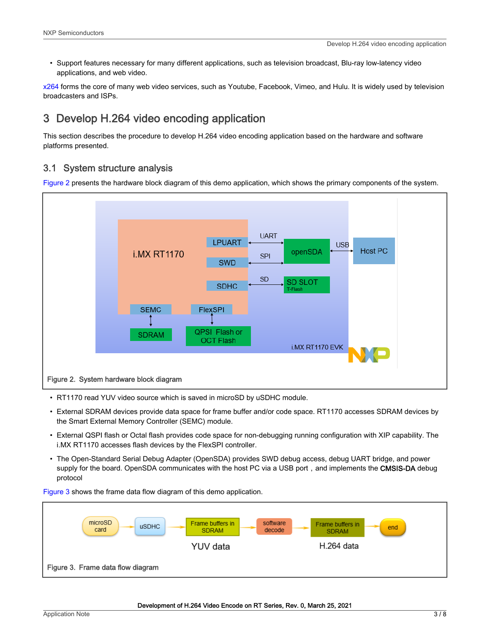<span id="page-2-0"></span>• Support features necessary for many different applications, such as television broadcast, Blu-ray low-latency video applications, and web video.

[x264](https://www.videolan.org/developers/x264.html) forms the core of many web video services, such as Youtube, Facebook, Vimeo, and Hulu. It is widely used by television broadcasters and ISPs.

# 3 Develop H.264 video encoding application

This section describes the procedure to develop H.264 video encoding application based on the hardware and software platforms presented.

### 3.1 System structure analysis

Figure 2 presents the hardware block diagram of this demo application, which shows the primary components of the system.



- RT1170 read YUV video source which is saved in microSD by uSDHC module.
- External SDRAM devices provide data space for frame buffer and/or code space. RT1170 accesses SDRAM devices by the Smart External Memory Controller (SEMC) module.
- External QSPI flash or Octal flash provides code space for non-debugging running configuration with XIP capability. The i.MX RT1170 accesses flash devices by the FlexSPI controller.
- The Open-Standard Serial Debug Adapter (OpenSDA) provides SWD debug access, debug UART bridge, and power supply for the board. OpenSDA communicates with the host PC via a USB port, and implements the CMSIS-DA debug protocol

Figure 3 shows the frame data flow diagram of this demo application.

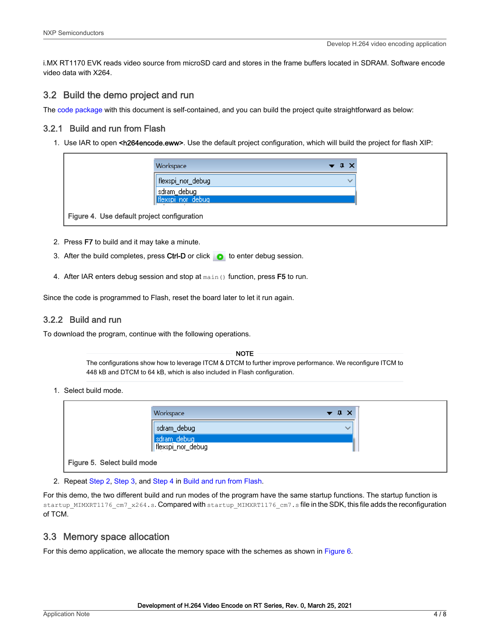<span id="page-3-0"></span>i.MX RT1170 EVK reads video source from microSD card and stores in the frame buffers located in SDRAM. Software encode video data with X264.

#### 3.2 Build the demo project and run

The [code package](https://github.com/xinyigao/x264_encode_i.MXRT1170) with this document is self-contained, and you can build the project quite straightforward as below:

#### 3.2.1 Build and run from Flash

1. Use IAR to open <h264encode.eww>. Use the default project configuration, which will build the project for flash XIP:

| flexspi_nor_debug  |      |
|--------------------|------|
|                    | بريه |
| sdram_debug        |      |
| flexspi nor debug. |      |

- 2. Press F7 to build and it may take a minute.
- 3. After the build completes, press Ctrl-D or click  $\bullet$  to enter debug session.
- 4. After IAR enters debug session and stop at main () function, press F5 to run.

Since the code is programmed to Flash, reset the board later to let it run again.

#### 3.2.2 Build and run

To download the program, continue with the following operations.

The configurations show how to leverage ITCM & DTCM to further improve performance. We reconfigure ITCM to 448 kB and DTCM to 64 kB, which is also included in Flash configuration. NOTE

1. Select build mode.

|                             | Workspace                        | $\bullet$ $\uparrow$ $\times$ |
|-----------------------------|----------------------------------|-------------------------------|
|                             | sdram_debug                      | $\checkmark$                  |
|                             | sdram_debug<br>flexspi_nor_debug |                               |
| Figure 5. Select build mode |                                  |                               |

2. Repeat Step 2, Step 3, and Step 4 in Build and run from Flash.

For this demo, the two different build and run modes of the program have the same startup functions. The startup function is startup\_MIMXRT1176\_cm7\_x264.s. Compared with startup\_MIMXRT1176\_cm7.s file in the SDK, this file adds the reconfiguration of TCM.

#### 3.3 Memory space allocation

For this demo application, we allocate the memory space with the schemes as shown in [Figure 6.](#page-4-0)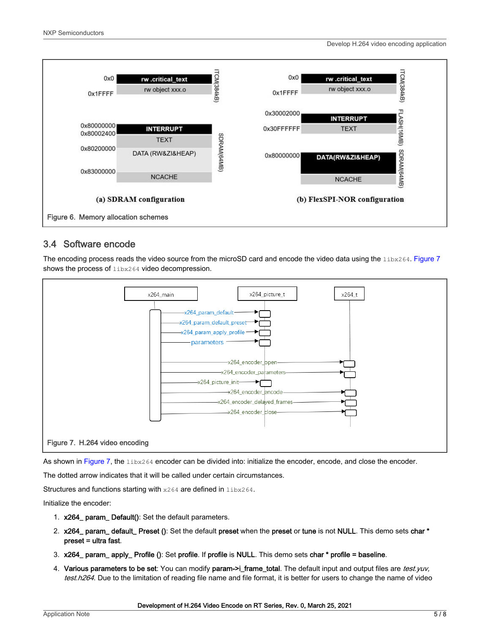Develop H.264 video encoding application

<span id="page-4-0"></span>

#### 3.4 Software encode

The encoding process reads the video source from the microSD card and encode the video data using the libx264. Figure 7 shows the process of  $l$ ibx264 video decompression.



As shown in Figure 7, the libx264 encoder can be divided into: initialize the encoder, encode, and close the encoder.

The dotted arrow indicates that it will be called under certain circumstances.

Structures and functions starting with x264 are defined in libx264.

Initialize the encoder:

- 1. x264\_ param\_ Default(): Set the default parameters.
- 2. x264\_ param\_ default\_ Preset (): Set the default preset when the preset or tune is not NULL. This demo sets char \* preset = ultra fast.
- 3. x264\_ param\_ apply\_ Profile (): Set profile. If profile is NULL. This demo sets char \* profile = baseline.
- 4. Various parameters to be set: You can modify param->i\_frame\_total. The default input and output files are test.yuv, test.h264. Due to the limitation of reading file name and file format, it is better for users to change the name of video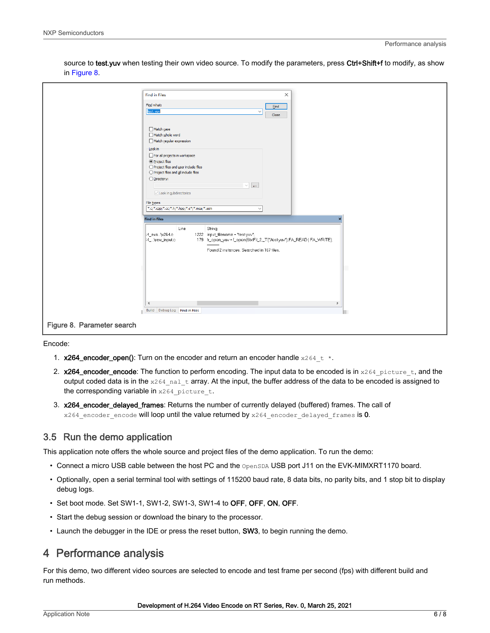|                            | <b>Find in Files</b>                                                                                                                                                                                                                                                                                           | $\times$       |  |
|----------------------------|----------------------------------------------------------------------------------------------------------------------------------------------------------------------------------------------------------------------------------------------------------------------------------------------------------------|----------------|--|
|                            | Find what:                                                                                                                                                                                                                                                                                                     | Eind           |  |
|                            | test.yuv<br>$\checkmark$                                                                                                                                                                                                                                                                                       | Close          |  |
|                            |                                                                                                                                                                                                                                                                                                                |                |  |
|                            | Match case<br>Match whole word<br>Match regular expression<br>Look in<br>For all projects in workspace<br>◉ Project files<br>○ Project files and user include files<br>○ Project files and all include files<br>◯ <u>Di</u> rectory:<br>$\omega_{\rm{m}}$<br>$\checkmark$<br>$\sqrt{ }$ Look in gubdirectories |                |  |
|                            |                                                                                                                                                                                                                                                                                                                |                |  |
|                            | File types<br>*.c;*.cpp;*.cc;*.h;*.hpp;*.s*;*.msa;*.asm<br>$\checkmark$                                                                                                                                                                                                                                        |                |  |
|                            | <b>Find in Files</b>                                                                                                                                                                                                                                                                                           | $\pmb{\times}$ |  |
|                            | Line<br>String<br>1222 input_filename = "test.yuv";<br>4_exa\x264.c<br>179 fr_open_yuv = f_open(&txtFil_2,_T("/test.yuv"),FA_READ   FA_WRITE);<br>i4_\raw_input.c<br>Found 2 instances. Searched in 167 files.<br>$\epsilon$<br>Build Debug Log Find in Files                                                  | $\,$           |  |
| Figure 8. Parameter search |                                                                                                                                                                                                                                                                                                                |                |  |

<span id="page-5-0"></span>source to test.yuv when testing their own video source. To modify the parameters, press Ctrl+Shift+f to modify, as show in Figure 8.

Encode:

- 1. x264\_encoder\_open(): Turn on the encoder and return an encoder handle  $x264-t$  \*.
- 2.  $x264$ \_encoder\_encode: The function to perform encoding. The input data to be encoded is in  $x264$  picture t, and the output coded data is in the  $x264$  nal  $t$  array. At the input, the buffer address of the data to be encoded is assigned to the corresponding variable in  $x264$  picture t.
- 3. x264\_encoder\_delayed\_frames: Returns the number of currently delayed (buffered) frames. The call of  $x264$  encoder encode will loop until the value returned by  $x264$  encoder delayed frames is 0.

#### 3.5 Run the demo application

This application note offers the whole source and project files of the demo application. To run the demo:

- Connect a micro USB cable between the host PC and the OpenSDA USB port J11 on the EVK-MIMXRT1170 board.
- Optionally, open a serial terminal tool with settings of 115200 baud rate, 8 data bits, no parity bits, and 1 stop bit to display debug logs.
- Set boot mode. Set SW1-1, SW1-2, SW1-3, SW1-4 to OFF, OFF, ON, OFF.
- Start the debug session or download the binary to the processor.
- Launch the debugger in the IDE or press the reset button, SW3, to begin running the demo.

## 4 Performance analysis

For this demo, two different video sources are selected to encode and test frame per second (fps) with different build and run methods.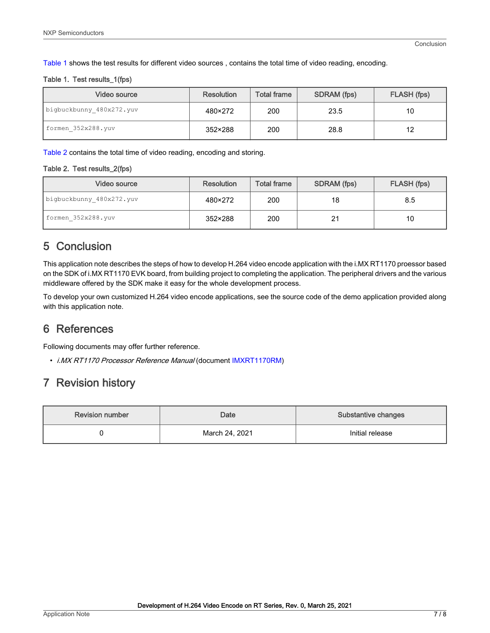<span id="page-6-0"></span>Table 1 shows the test results for different video sources , contains the total time of video reading, encoding.

#### Table 1. Test results\_1(fps)

| Video source             | <b>Resolution</b> | <b>Total frame</b> | SDRAM (fps) | FLASH (fps) |
|--------------------------|-------------------|--------------------|-------------|-------------|
| bigbuckbunny 480x272.yuv | 480×272           | 200                | 23.5        | 10          |
| formen 352x288.yuv       | 352×288           | 200                | 28.8        | 12          |

Table 2 contains the total time of video reading, encoding and storing.

#### Table 2. Test results\_2(fps)

| Video source             | <b>Resolution</b> | <b>Total frame</b> | SDRAM (fps) | FLASH (fps) |
|--------------------------|-------------------|--------------------|-------------|-------------|
| bigbuckbunny 480x272.yuv | 480×272           | 200                | 18          | 8.5         |
| formen 352x288.yuv       | 352×288           | 200                | 21          | 10          |

# 5 Conclusion

This application note describes the steps of how to develop H.264 video encode application with the i.MX RT1170 proessor based on the SDK of i.MX RT1170 EVK board, from building project to completing the application. The peripheral drivers and the various middleware offered by the SDK make it easy for the whole development process.

To develop your own customized H.264 video encode applications, see the source code of the demo application provided along with this application note.

# 6 References

Following documents may offer further reference.

• i.MX RT1170 Processor Reference Manual (document [IMXRT1170RM](https://www.nxp.com/docs/en/reference-manual/IMXRT1170RM.pdf))

# 7 Revision history

| <b>Revision number</b> | Date           | Substantive changes |
|------------------------|----------------|---------------------|
|                        | March 24, 2021 | Initial release     |